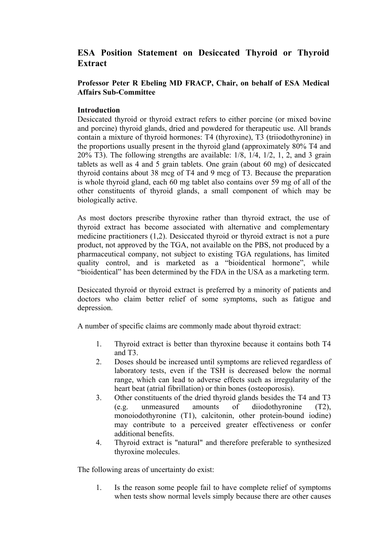# **ESA Position Statement on Desiccated Thyroid or Thyroid Extract**

## **Professor Peter R Ebeling MD FRACP, Chair, on behalf of ESA Medical Affairs Sub-Committee**

## **Introduction**

Desiccated thyroid or thyroid extract refers to either porcine (or mixed bovine and porcine) thyroid glands, dried and powdered for therapeutic use. All brands contain a mixture of thyroid hormones: T4 (thyroxine), T3 (triiodothyronine) in the proportions usually present in the thyroid gland (approximately 80% T4 and 20% T3). The following strengths are available: 1/8, 1/4, 1/2, 1, 2, and 3 grain tablets as well as 4 and 5 grain tablets. One grain (about 60 mg) of desiccated thyroid contains about 38 mcg of T4 and 9 mcg of T3. Because the preparation is whole thyroid gland, each 60 mg tablet also contains over 59 mg of all of the other constituents of thyroid glands, a small component of which may be biologically active.

As most doctors prescribe thyroxine rather than thyroid extract, the use of thyroid extract has become associated with alternative and complementary medicine practitioners (1,2). Desiccated thyroid or thyroid extract is not a pure product, not approved by the TGA, not available on the PBS, not produced by a pharmaceutical company, not subject to existing TGA regulations, has limited quality control, and is marketed as a "bioidentical hormone", while "bioidentical" has been determined by the FDA in the USA as a marketing term.

Desiccated thyroid or thyroid extract is preferred by a minority of patients and doctors who claim better relief of some symptoms, such as fatigue and depression.

A number of specific claims are commonly made about thyroid extract:

- 1. Thyroid extract is better than thyroxine because it contains both T4 and T3.
- 2. Doses should be increased until symptoms are relieved regardless of laboratory tests, even if the TSH is decreased below the normal range, which can lead to adverse effects such as irregularity of the heart beat (atrial fibrillation) or thin bones (osteoporosis).
- 3. Other constituents of the dried thyroid glands besides the T4 and T3 (e.g. unmeasured amounts of diiodothyronine (T2), monoiodothyronine (T1), calcitonin, other protein-bound iodine) may contribute to a perceived greater effectiveness or confer additional benefits.
- 4. Thyroid extract is "natural" and therefore preferable to synthesized thyroxine molecules.

The following areas of uncertainty do exist:

1. Is the reason some people fail to have complete relief of symptoms when tests show normal levels simply because there are other causes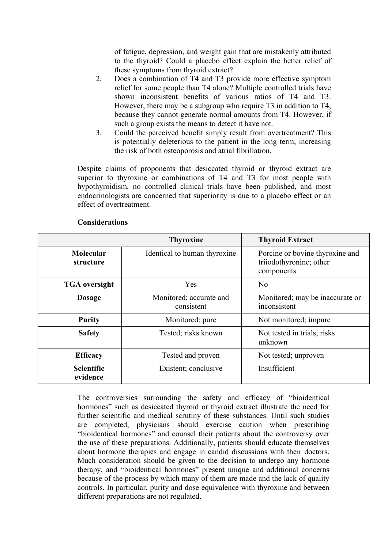of fatigue, depression, and weight gain that are mistakenly attributed to the thyroid? Could a placebo effect explain the better relief of these symptoms from thyroid extract?

- 2. Does a combination of T4 and T3 provide more effective symptom relief for some people than T4 alone? Multiple controlled trials have shown inconsistent benefits of various ratios of T4 and T3. However, there may be a subgroup who require T3 in addition to T4, because they cannot generate normal amounts from T4. However, if such a group exists the means to detect it have not.
- 3. Could the perceived benefit simply result from overtreatment? This is potentially deleterious to the patient in the long term, increasing the risk of both osteoporosis and atrial fibrillation.

Despite claims of proponents that desiccated thyroid or thyroid extract are superior to thyroxine or combinations of T4 and T3 for most people with hypothyroidism, no controlled clinical trials have been published, and most endocrinologists are concerned that superiority is due to a placebo effect or an effect of overtreatment.

|                               | <b>Thyroxine</b>                      | <b>Thyroid Extract</b>                                                   |
|-------------------------------|---------------------------------------|--------------------------------------------------------------------------|
| Molecular<br>structure        | Identical to human thyroxine          | Porcine or bovine thyroxine and<br>triiodothyronine; other<br>components |
| <b>TGA</b> oversight          | Yes                                   | No                                                                       |
| <b>Dosage</b>                 | Monitored; accurate and<br>consistent | Monitored; may be inaccurate or<br>inconsistent                          |
| <b>Purity</b>                 | Monitored; pure                       | Not monitored; impure                                                    |
| <b>Safety</b>                 | Tested; risks known                   | Not tested in trials; risks<br>unknown                                   |
| <b>Efficacy</b>               | Tested and proven                     | Not tested; unproven                                                     |
| <b>Scientific</b><br>evidence | Existent; conclusive                  | Insufficient                                                             |

#### **Considerations**

The controversies surrounding the safety and efficacy of "bioidentical hormones" such as desiccated thyroid or thyroid extract illustrate the need for further scientific and medical scrutiny of these substances. Until such studies are completed, physicians should exercise caution when prescribing "bioidentical hormones" and counsel their patients about the controversy over the use of these preparations. Additionally, patients should educate themselves about hormone therapies and engage in candid discussions with their doctors. Much consideration should be given to the decision to undergo any hormone therapy, and "bioidentical hormones" present unique and additional concerns because of the process by which many of them are made and the lack of quality controls. In particular, purity and dose equivalence with thyroxine and between different preparations are not regulated.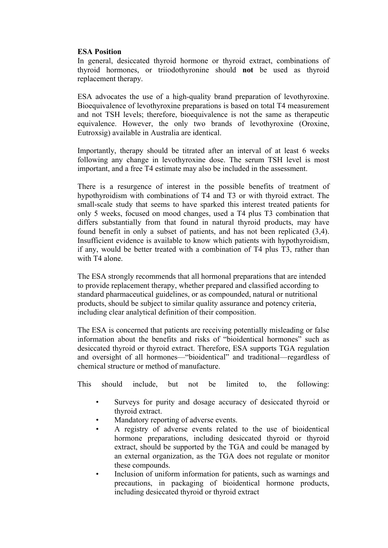#### **ESA Position**

In general, desiccated thyroid hormone or thyroid extract, combinations of thyroid hormones, or triiodothyronine should **not** be used as thyroid replacement therapy.

ESA advocates the use of a high-quality brand preparation of levothyroxine. Bioequivalence of levothyroxine preparations is based on total T4 measurement and not TSH levels; therefore, bioequivalence is not the same as therapeutic equivalence. However, the only two brands of levothyroxine (Oroxine, Eutroxsig) available in Australia are identical.

Importantly, therapy should be titrated after an interval of at least 6 weeks following any change in levothyroxine dose. The serum TSH level is most important, and a free T4 estimate may also be included in the assessment.

There is a resurgence of interest in the possible benefits of treatment of hypothyroidism with combinations of T4 and T3 or with thyroid extract. The small-scale study that seems to have sparked this interest treated patients for only 5 weeks, focused on mood changes, used a T4 plus T3 combination that differs substantially from that found in natural thyroid products, may have found benefit in only a subset of patients, and has not been replicated (3,4). Insufficient evidence is available to know which patients with hypothyroidism, if any, would be better treated with a combination of T4 plus T3, rather than with T4 alone.

The ESA strongly recommends that all hormonal preparations that are intended to provide replacement therapy, whether prepared and classified according to standard pharmaceutical guidelines, or as compounded, natural or nutritional products, should be subject to similar quality assurance and potency criteria, including clear analytical definition of their composition.

The ESA is concerned that patients are receiving potentially misleading or false information about the benefits and risks of "bioidentical hormones" such as desiccated thyroid or thyroid extract. Therefore, ESA supports TGA regulation and oversight of all hormones—"bioidentical" and traditional—regardless of chemical structure or method of manufacture.

This should include, but not be limited to, the following:

- Surveys for purity and dosage accuracy of desiccated thyroid or thyroid extract.
- Mandatory reporting of adverse events.
- A registry of adverse events related to the use of bioidentical hormone preparations, including desiccated thyroid or thyroid extract, should be supported by the TGA and could be managed by an external organization, as the TGA does not regulate or monitor these compounds.
- Inclusion of uniform information for patients, such as warnings and precautions, in packaging of bioidentical hormone products, including desiccated thyroid or thyroid extract